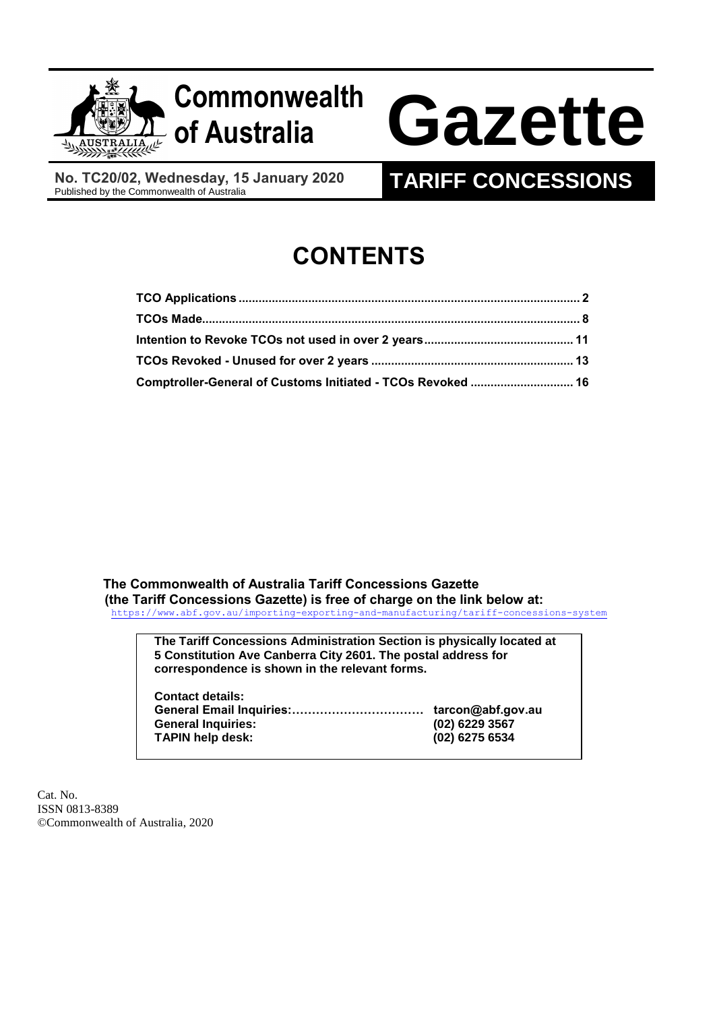

**No. TC20/02, Wednesday, 15 January 2020**

# **TARIFF CONCESSIONS**

# **CONTENTS**

| Comptroller-General of Customs Initiated - TCOs Revoked  16 |  |
|-------------------------------------------------------------|--|

**The Commonwealth of Australia Tariff Concessions Gazette (the Tariff Concessions Gazette) is free of charge on the link below at:** <https://www.abf.gov.au/importing-exporting-and-manufacturing/tariff-concessions-system>

> **The Tariff Concessions Administration Section is physically located at 5 Constitution Ave Canberra City 2601. The postal address for correspondence is shown in the relevant forms.**

| <b>Contact details:</b>   |                |
|---------------------------|----------------|
|                           |                |
| <b>General Inquiries:</b> | (02) 6229 3567 |
| <b>TAPIN help desk:</b>   | (02) 6275 6534 |

Cat. No. ISSN 0813-8389 ©Commonwealth of Australia, 2020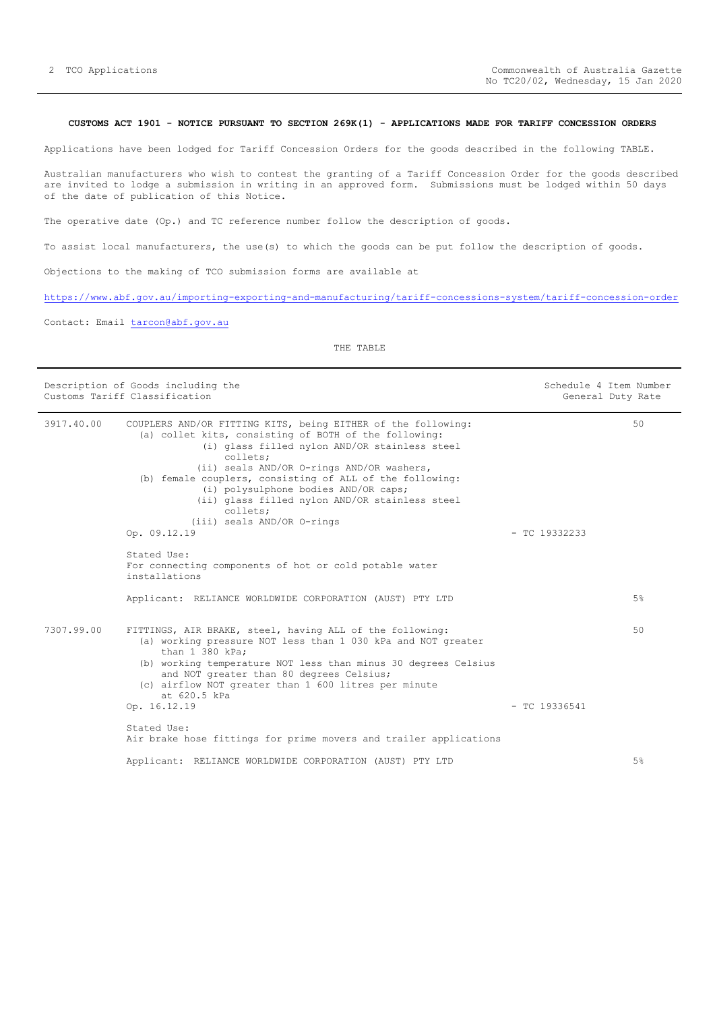## <span id="page-1-0"></span>**CUSTOMS ACT 1901 - NOTICE PURSUANT TO SECTION 269K(1) - APPLICATIONS MADE FOR TARIFF CONCESSION ORDERS**

Applications have been lodged for Tariff Concession Orders for the goods described in the following TABLE.

Australian manufacturers who wish to contest the granting of a Tariff Concession Order for the goods described are invited to lodge a submission in writing in an approved form. Submissions must be lodged within 50 days of the date of publication of this Notice.

The operative date (Op.) and TC reference number follow the description of goods.

To assist local manufacturers, the use(s) to which the goods can be put follow the description of goods.

Objections to the making of TCO submission forms are available at

<https://www.abf.gov.au/importing-exporting-and-manufacturing/tariff-concessions-system/tariff-concession-order>

Contact: Email [tarcon@abf.gov.au](mailto:tarcon@abf.gov.au)

|            | Description of Goods including the<br>Customs Tariff Classification                                                                                                                                                                                                                                                                                                                                                             |                 | Schedule 4 Item Number<br>General Duty Rate |
|------------|---------------------------------------------------------------------------------------------------------------------------------------------------------------------------------------------------------------------------------------------------------------------------------------------------------------------------------------------------------------------------------------------------------------------------------|-----------------|---------------------------------------------|
| 3917.40.00 | COUPLERS AND/OR FITTING KITS, being EITHER of the following:<br>(a) collet kits, consisting of BOTH of the following:<br>(i) glass filled nylon AND/OR stainless steel<br>collets;<br>(ii) seals AND/OR O-rings AND/OR washers,<br>(b) female couplers, consisting of ALL of the following:<br>(i) polysulphone bodies AND/OR caps;<br>(ii) glass filled nylon AND/OR stainless steel<br>collets;<br>(iii) seals AND/OR O-rings |                 | 50                                          |
|            | Op. 09.12.19                                                                                                                                                                                                                                                                                                                                                                                                                    | $-$ TC 19332233 |                                             |
|            | Stated Use:<br>For connecting components of hot or cold potable water<br>installations                                                                                                                                                                                                                                                                                                                                          |                 |                                             |
|            | Applicant: RELIANCE WORLDWIDE CORPORATION (AUST) PTY LTD                                                                                                                                                                                                                                                                                                                                                                        |                 | $5\%$                                       |
| 7307.99.00 | FITTINGS, AIR BRAKE, steel, having ALL of the following:<br>(a) working pressure NOT less than 1 030 kPa and NOT greater<br>than 1 380 kPa:<br>(b) working temperature NOT less than minus 30 degrees Celsius<br>and NOT greater than 80 degrees Celsius;<br>(c) airflow NOT greater than 1 600 litres per minute<br>at 620.5 kPa                                                                                               |                 | 50                                          |
|            | Op. 16.12.19                                                                                                                                                                                                                                                                                                                                                                                                                    | $-$ TC 19336541 |                                             |
|            | Stated Use:<br>Air brake hose fittings for prime movers and trailer applications                                                                                                                                                                                                                                                                                                                                                |                 |                                             |
|            | Applicant: RELIANCE WORLDWIDE CORPORATION (AUST) PTY LTD                                                                                                                                                                                                                                                                                                                                                                        |                 | $5\%$                                       |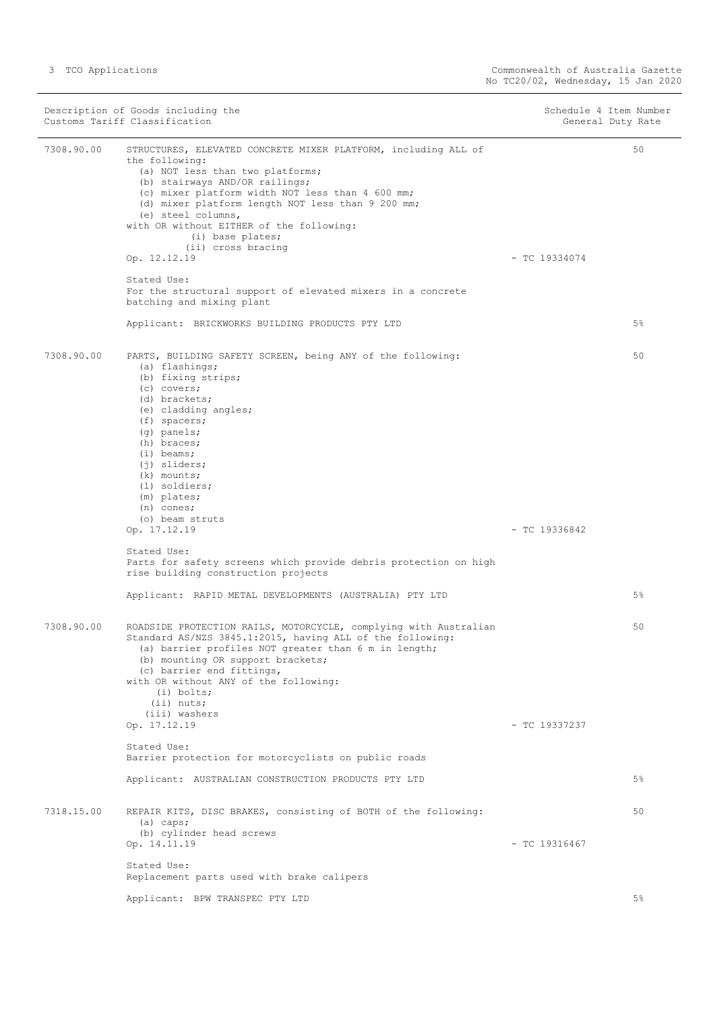Description of Goods including the Schedule 4 Item Number<br>
Customs Tariff Classification<br>
Schedule 4 Item Number Customs Tariff Classification 7308.90.00 STRUCTURES, ELEVATED CONCRETE MIXER PLATFORM, including ALL of the following: (a) NOT less than two platforms; (b) stairways AND/OR railings; (c) mixer platform width NOT less than 4 600 mm; (d) mixer platform length NOT less than 9 200 mm; (e) steel columns, with OR without EITHER of the following: (i) base plates; (ii) cross bracing  $\sigma$  - 12.12.19 - TC 19334074 Stated Use: For the structural support of elevated mixers in a concrete batching and mixing plant Applicant: BRICKWORKS BUILDING PRODUCTS PTY LTD 50 5% 7308.90.00 PARTS, BUILDING SAFETY SCREEN, being ANY of the following: (a) flashings; (b) fixing strips; (c) covers; (d) brackets; (e) cladding angles; (f) spacers; (g) panels; (h) braces; (i) beams; (j) sliders; (k) mounts; (l) soldiers; (m) plates; (n) cones; (o) beam struts<br>Op.  $17.12.19$ - TC 19336842 Stated Use: Parts for safety screens which provide debris protection on high rise building construction projects Applicant: RAPID METAL DEVELOPMENTS (AUSTRALIA) PTY LTD  $50$ 5% 7308.90.00 ROADSIDE PROTECTION RAILS, MOTORCYCLE, complying with Australian Standard AS/NZS 3845.1:2015, having ALL of the following: (a) barrier profiles NOT greater than 6 m in length; (b) mounting OR support brackets; (c) barrier end fittings, with OR without ANY of the following: (i) bolts; (ii) nuts;  $(iii)$  washers<br>Op.  $17.12.19$ - TC 19337237 Stated Use: Barrier protection for motorcyclists on public roads Applicant: AUSTRALIAN CONSTRUCTION PRODUCTS PTY LTD 50 5% 7318.15.00 REPAIR KITS, DISC BRAKES, consisting of BOTH of the following: (a) caps; (b) cylinder head screws Op. 14.11.19 - TC 19316467 Stated Use: Replacement parts used with brake calipers Applicant: BPW TRANSPEC PTY LTD 50 5%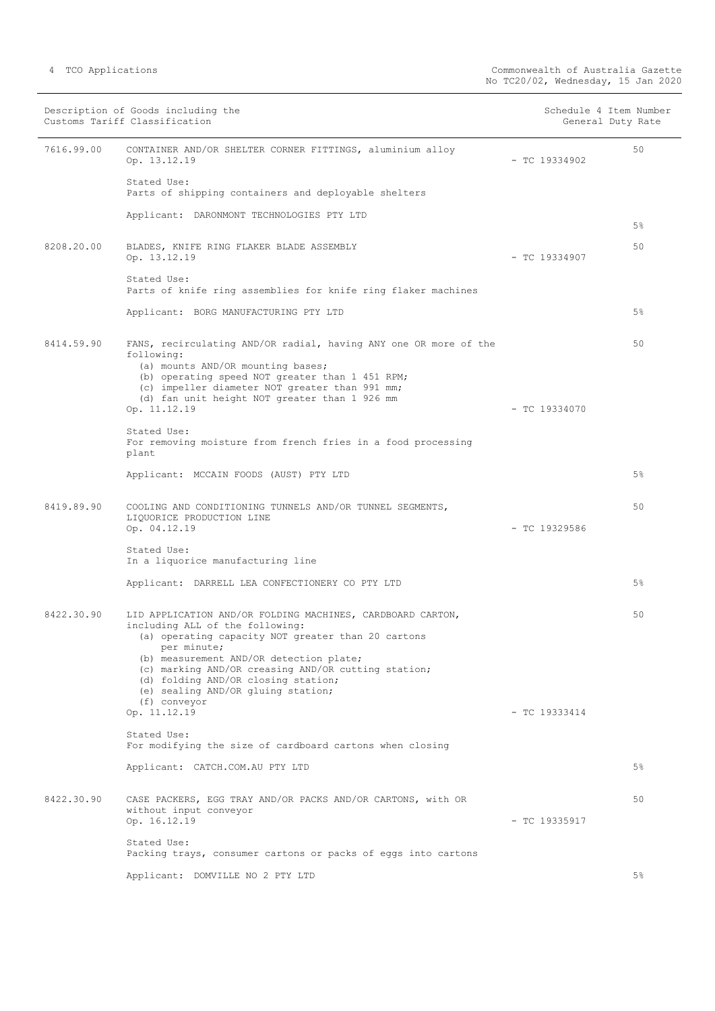|  |  | TCO Applications |
|--|--|------------------|
|--|--|------------------|

|            | Description of Goods including the<br>Customs Tariff Classification                                                                                                                                                                                                                                                                                               |                 | Schedule 4 Item Number<br>General Duty Rate |
|------------|-------------------------------------------------------------------------------------------------------------------------------------------------------------------------------------------------------------------------------------------------------------------------------------------------------------------------------------------------------------------|-----------------|---------------------------------------------|
| 7616.99.00 | CONTAINER AND/OR SHELTER CORNER FITTINGS, aluminium alloy<br>Op. 13.12.19                                                                                                                                                                                                                                                                                         | $-$ TC 19334902 | 50                                          |
|            | Stated Use:<br>Parts of shipping containers and deployable shelters                                                                                                                                                                                                                                                                                               |                 |                                             |
|            | Applicant: DARONMONT TECHNOLOGIES PTY LTD                                                                                                                                                                                                                                                                                                                         |                 | 5 <sup>°</sup>                              |
| 8208.20.00 | BLADES, KNIFE RING FLAKER BLADE ASSEMBLY<br>Op. 13.12.19                                                                                                                                                                                                                                                                                                          | $-$ TC 19334907 | 50                                          |
|            | Stated Use:<br>Parts of knife ring assemblies for knife ring flaker machines                                                                                                                                                                                                                                                                                      |                 |                                             |
|            | Applicant: BORG MANUFACTURING PTY LTD                                                                                                                                                                                                                                                                                                                             |                 | 5 <sup>°</sup>                              |
| 8414.59.90 | FANS, recirculating AND/OR radial, having ANY one OR more of the<br>following:<br>(a) mounts AND/OR mounting bases;<br>(b) operating speed NOT greater than 1 451 RPM;<br>(c) impeller diameter NOT greater than 991 mm;<br>(d) fan unit height NOT greater than 1 926 mm<br>Op. 11.12.19                                                                         | $-$ TC 19334070 | 50                                          |
|            | Stated Use:<br>For removing moisture from french fries in a food processing<br>plant                                                                                                                                                                                                                                                                              |                 |                                             |
|            | Applicant: MCCAIN FOODS (AUST) PTY LTD                                                                                                                                                                                                                                                                                                                            |                 | 5%                                          |
| 8419.89.90 | COOLING AND CONDITIONING TUNNELS AND/OR TUNNEL SEGMENTS,<br>LIQUORICE PRODUCTION LINE<br>Op. 04.12.19                                                                                                                                                                                                                                                             | $-$ TC 19329586 | 50                                          |
|            | Stated Use:<br>In a liquorice manufacturing line                                                                                                                                                                                                                                                                                                                  |                 |                                             |
|            | Applicant: DARRELL LEA CONFECTIONERY CO PTY LTD                                                                                                                                                                                                                                                                                                                   |                 | 5%                                          |
| 8422.30.90 | LID APPLICATION AND/OR FOLDING MACHINES, CARDBOARD CARTON,<br>including ALL of the following:<br>(a) operating capacity NOT greater than 20 cartons<br>per minute;<br>(b) measurement AND/OR detection plate;<br>(c) marking AND/OR creasing AND/OR cutting station;<br>(d) folding AND/OR closing station;<br>(e) sealing AND/OR gluing station;<br>(f) conveyor |                 | 50                                          |
|            | Op. 11.12.19<br>Stated Use:                                                                                                                                                                                                                                                                                                                                       | $-$ TC 19333414 |                                             |
|            | For modifying the size of cardboard cartons when closing                                                                                                                                                                                                                                                                                                          |                 |                                             |
|            | Applicant: CATCH.COM.AU PTY LTD                                                                                                                                                                                                                                                                                                                                   |                 | 5 <sup>°</sup>                              |
| 8422.30.90 | CASE PACKERS, EGG TRAY AND/OR PACKS AND/OR CARTONS, with OR<br>without input conveyor<br>Op. 16.12.19                                                                                                                                                                                                                                                             | $-$ TC 19335917 | 50                                          |
|            | Stated Use:<br>Packing trays, consumer cartons or packs of eggs into cartons                                                                                                                                                                                                                                                                                      |                 |                                             |
|            | Applicant: DOMVILLE NO 2 PTY LTD                                                                                                                                                                                                                                                                                                                                  |                 | $5\%$                                       |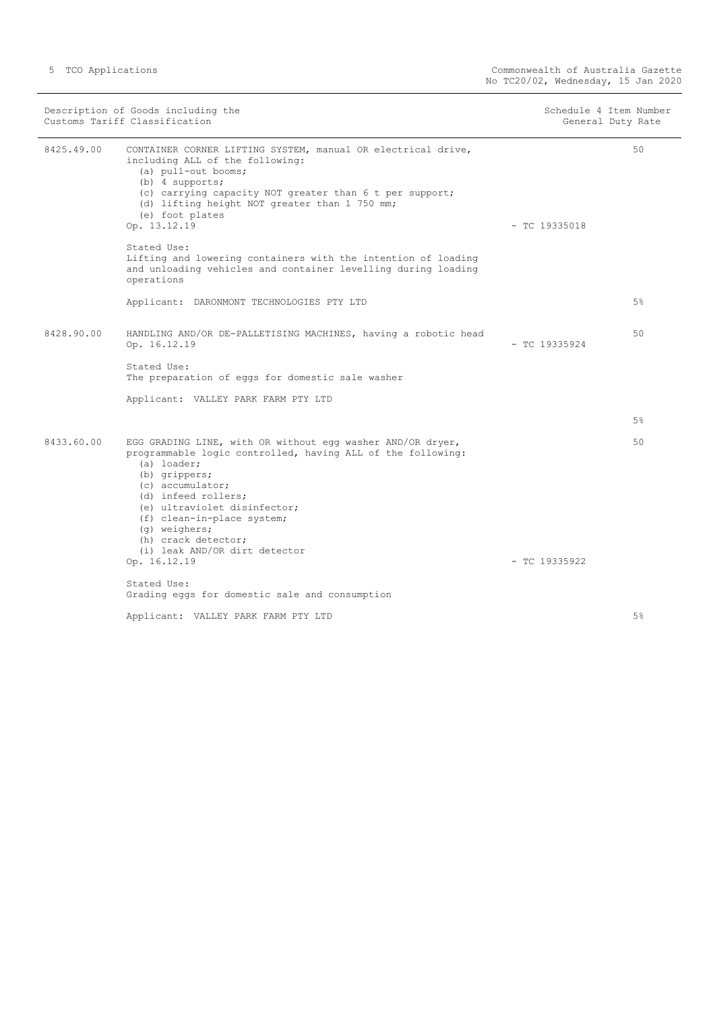| Description of Goods including the<br>Customs Tariff Classification |                                                                                                                                                                                                                                                                                                                                             | Schedule 4 Item Number<br>General Duty Rate |       |
|---------------------------------------------------------------------|---------------------------------------------------------------------------------------------------------------------------------------------------------------------------------------------------------------------------------------------------------------------------------------------------------------------------------------------|---------------------------------------------|-------|
| 8425.49.00                                                          | CONTAINER CORNER LIFTING SYSTEM, manual OR electrical drive,<br>including ALL of the following:<br>(a) pull-out booms;<br>$(b)$ 4 supports;<br>(c) carrying capacity NOT greater than 6 t per support;<br>(d) lifting height NOT greater than 1 750 mm;<br>(e) foot plates<br>Op. 13.12.19                                                  | $-$ TC 19335018                             | 50    |
|                                                                     | Stated Use:<br>Lifting and lowering containers with the intention of loading<br>and unloading vehicles and container levelling during loading<br>operations                                                                                                                                                                                 |                                             |       |
|                                                                     | Applicant: DARONMONT TECHNOLOGIES PTY LTD                                                                                                                                                                                                                                                                                                   |                                             | $5\%$ |
| 8428.90.00                                                          | HANDLING AND/OR DE-PALLETISING MACHINES, having a robotic head<br>Op. 16.12.19                                                                                                                                                                                                                                                              | $-$ TC 19335924                             | 50    |
|                                                                     | Stated Use:<br>The preparation of eggs for domestic sale washer                                                                                                                                                                                                                                                                             |                                             |       |
|                                                                     | Applicant: VALLEY PARK FARM PTY LTD                                                                                                                                                                                                                                                                                                         |                                             |       |
|                                                                     |                                                                                                                                                                                                                                                                                                                                             |                                             | 5%    |
| 8433.60.00                                                          | EGG GRADING LINE, with OR without egg washer AND/OR dryer,<br>programmable logic controlled, having ALL of the following:<br>(a) loader;<br>(b) grippers;<br>(c) accumulator;<br>(d) infeed rollers;<br>(e) ultraviolet disinfector;<br>(f) clean-in-place system;<br>(q) weighers;<br>(h) crack detector;<br>(i) leak AND/OR dirt detector | $-$ TC 19335922                             | 50    |
|                                                                     | Op. 16.12.19<br>Stated Use:                                                                                                                                                                                                                                                                                                                 |                                             |       |
|                                                                     | Grading eggs for domestic sale and consumption                                                                                                                                                                                                                                                                                              |                                             |       |
|                                                                     | Applicant: VALLEY PARK FARM PTY LTD                                                                                                                                                                                                                                                                                                         |                                             | 5%    |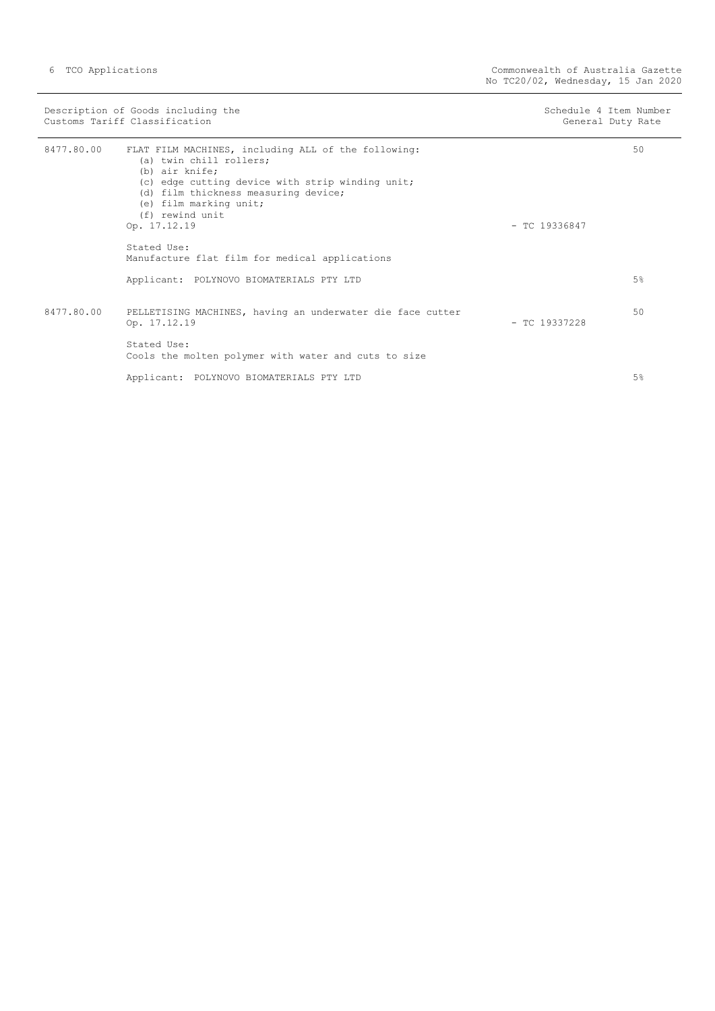|            | Description of Goods including the<br>Customs Tariff Classification                                                                                                                                                                                       | Schedule 4 Ttem Number<br>General Duty Rate |    |
|------------|-----------------------------------------------------------------------------------------------------------------------------------------------------------------------------------------------------------------------------------------------------------|---------------------------------------------|----|
| 8477.80.00 | FLAT FILM MACHINES, including ALL of the following:<br>(a) twin chill rollers;<br>(b) air knife;<br>(c) edge cutting device with strip winding unit;<br>(d) film thickness measuring device;<br>(e) film marking unit;<br>(f) rewind unit<br>Op. 17.12.19 | $-$ TC 19336847                             | 50 |
|            | Stated Use:<br>Manufacture flat film for medical applications                                                                                                                                                                                             |                                             |    |
|            | Applicant: POLYNOVO BIOMATERIALS PTY LTD                                                                                                                                                                                                                  |                                             | 5% |
| 8477.80.00 | PELLETISING MACHINES, having an underwater die face cutter<br>Op. 17.12.19                                                                                                                                                                                | $-$ TC 19337228                             | 50 |
|            | Stated Use:<br>Cools the molten polymer with water and cuts to size                                                                                                                                                                                       |                                             |    |
|            | Applicant: POLYNOVO BIOMATERIALS PTY LTD                                                                                                                                                                                                                  |                                             | 5% |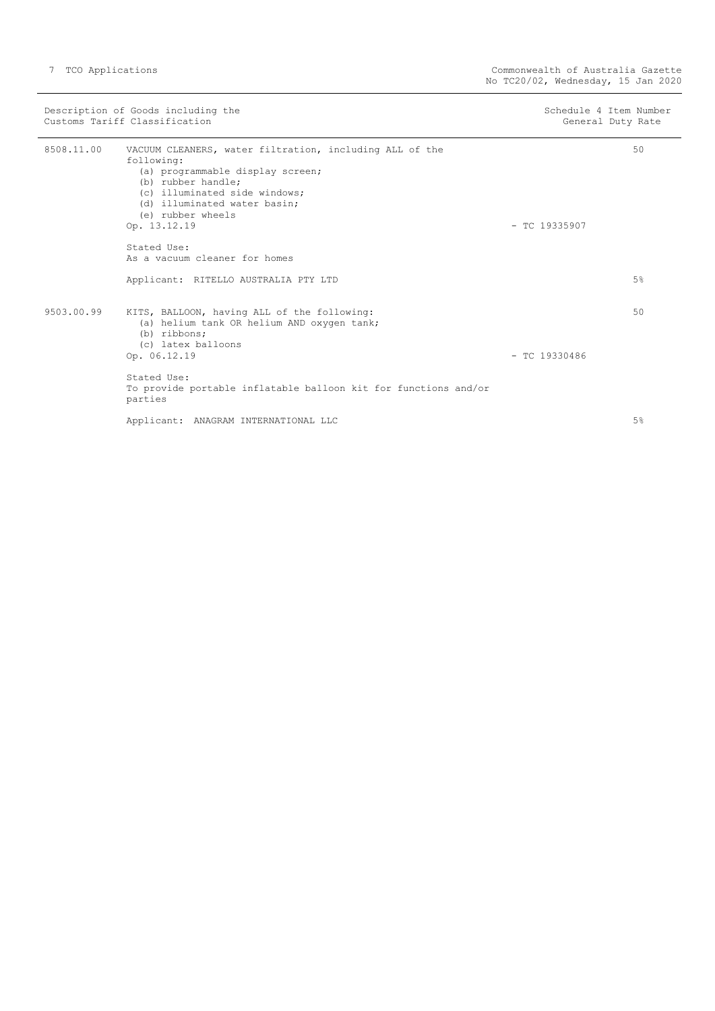|            | Description of Goods including the<br>Customs Tariff Classification                                                                                                                                                                   | Schedule 4 Item Number<br>General Duty Rate |    |
|------------|---------------------------------------------------------------------------------------------------------------------------------------------------------------------------------------------------------------------------------------|---------------------------------------------|----|
| 8508.11.00 | VACUUM CLEANERS, water filtration, including ALL of the<br>following:<br>(a) programmable display screen;<br>(b) rubber handle;<br>(c) illuminated side windows;<br>(d) illuminated water basin;<br>(e) rubber wheels<br>Op. 13.12.19 | $-$ TC 19335907                             | 50 |
|            | Stated Use:<br>As a vacuum cleaner for homes                                                                                                                                                                                          |                                             |    |
|            | Applicant: RITELLO AUSTRALIA PTY LTD                                                                                                                                                                                                  |                                             | 5% |
| 9503.00.99 | KITS, BALLOON, having ALL of the following:<br>(a) helium tank OR helium AND oxygen tank;<br>(b) ribbons;<br>(c) latex balloons<br>Op. 06.12.19                                                                                       | $-$ TC 19330486                             | 50 |
|            | Stated Use:<br>To provide portable inflatable balloon kit for functions and/or<br>parties                                                                                                                                             |                                             |    |
|            | Applicant: ANAGRAM INTERNATIONAL LLC                                                                                                                                                                                                  |                                             | 5% |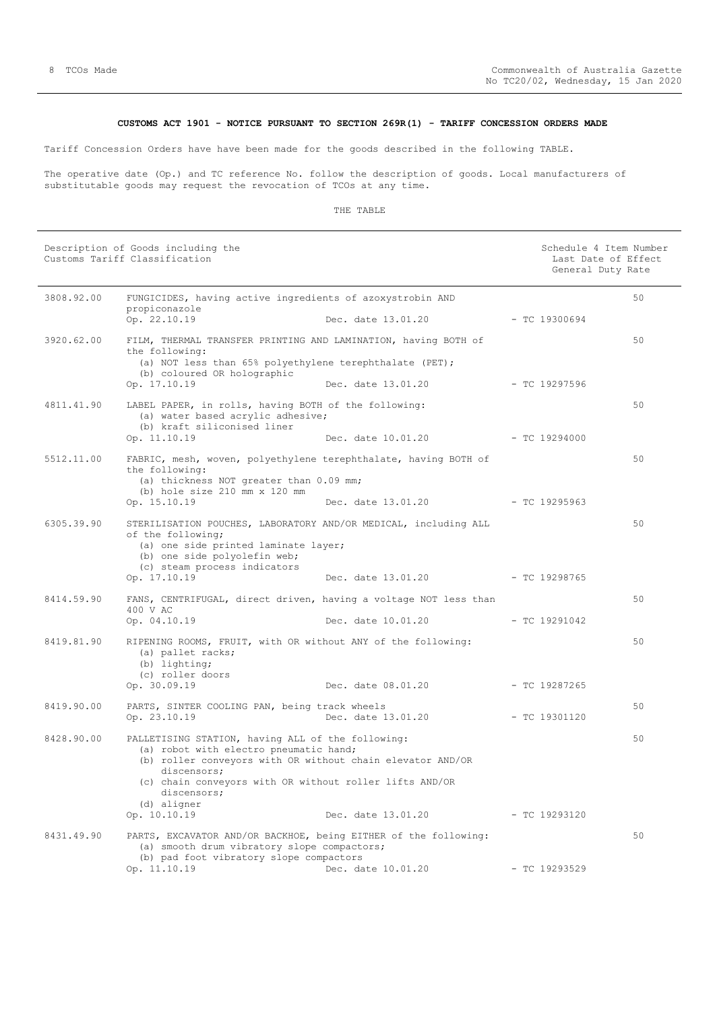# **CUSTOMS ACT 1901 - NOTICE PURSUANT TO SECTION 269R(1) - TARIFF CONCESSION ORDERS MADE**

<span id="page-7-0"></span>Tariff Concession Orders have have been made for the goods described in the following TABLE.

The operative date (Op.) and TC reference No. follow the description of goods. Local manufacturers of substitutable goods may request the revocation of TCOs at any time.

|            | Description of Goods including the<br>Customs Tariff Classification                                                                                                                                                                                                               |                                       | Schedule 4 Item Number<br>Last Date of Effect<br>General Duty Rate |    |
|------------|-----------------------------------------------------------------------------------------------------------------------------------------------------------------------------------------------------------------------------------------------------------------------------------|---------------------------------------|--------------------------------------------------------------------|----|
| 3808.92.00 | FUNGICIDES, having active ingredients of azoxystrobin AND                                                                                                                                                                                                                         |                                       |                                                                    | 50 |
|            | propiconazole<br>Op. 22.10.19                                                                                                                                                                                                                                                     | $-$ TC 19300694<br>Dec. date 13.01.20 |                                                                    |    |
| 3920.62.00 | FILM, THERMAL TRANSFER PRINTING AND LAMINATION, having BOTH of<br>the following:<br>(a) NOT less than 65% polyethylene terephthalate (PET);<br>(b) coloured OR holographic                                                                                                        |                                       |                                                                    | 50 |
|            | Op. 17.10.19                                                                                                                                                                                                                                                                      | Dec. date 13.01.20                    | $-$ TC 19297596                                                    |    |
| 4811.41.90 | LABEL PAPER, in rolls, having BOTH of the following:<br>(a) water based acrylic adhesive;<br>(b) kraft siliconised liner                                                                                                                                                          |                                       |                                                                    | 50 |
|            | Op. 11.10.19                                                                                                                                                                                                                                                                      | Dec. date 10.01.20                    | - TC 19294000                                                      |    |
| 5512.11.00 | FABRIC, mesh, woven, polyethylene terephthalate, having BOTH of<br>the following:<br>(a) thickness NOT greater than 0.09 mm;<br>(b) hole size 210 mm x 120 mm                                                                                                                     |                                       |                                                                    | 50 |
|            | Op. 15.10.19                                                                                                                                                                                                                                                                      | Dec. date 13.01.20                    | - TC 19295963                                                      |    |
| 6305.39.90 | STERILISATION POUCHES, LABORATORY AND/OR MEDICAL, including ALL<br>of the following;<br>(a) one side printed laminate layer;<br>(b) one side polyolefin web;<br>(c) steam process indicators                                                                                      |                                       |                                                                    | 50 |
|            | Op. 17.10.19                                                                                                                                                                                                                                                                      | Dec. date 13.01.20 - TC 19298765      |                                                                    |    |
| 8414.59.90 | FANS, CENTRIFUGAL, direct driven, having a voltage NOT less than<br>400 V AC                                                                                                                                                                                                      |                                       |                                                                    | 50 |
|            | Op. 04.10.19                                                                                                                                                                                                                                                                      | Dec. date 10.01.20                    | $-$ TC 19291042                                                    |    |
| 8419.81.90 | RIPENING ROOMS, FRUIT, with OR without ANY of the following:<br>(a) pallet racks;<br>(b) lighting;<br>(c) roller doors                                                                                                                                                            |                                       |                                                                    | 50 |
|            | Op. 30.09.19                                                                                                                                                                                                                                                                      | Dec. date 08.01.20                    | $-$ TC 19287265                                                    |    |
| 8419.90.00 | PARTS, SINTER COOLING PAN, being track wheels<br>Op. 23.10.19                                                                                                                                                                                                                     | Dec. date 13.01.20                    | $-$ TC 19301120                                                    | 50 |
| 8428.90.00 | PALLETISING STATION, having ALL of the following:<br>(a) robot with electro pneumatic hand;<br>(b) roller conveyors with OR without chain elevator AND/OR<br>discensors;<br>(c) chain conveyors with OR without roller lifts AND/OR<br>discensors;<br>(d) aligner<br>Op. 10.10.19 | Dec. date 13.01.20                    | $-$ TC 19293120                                                    | 50 |
| 8431.49.90 | PARTS, EXCAVATOR AND/OR BACKHOE, being EITHER of the following:                                                                                                                                                                                                                   |                                       |                                                                    | 50 |
|            | (a) smooth drum vibratory slope compactors;<br>(b) pad foot vibratory slope compactors                                                                                                                                                                                            |                                       |                                                                    |    |
|            | Op. 11.10.19                                                                                                                                                                                                                                                                      | Dec. date 10.01.20                    | $-$ TC 19293529                                                    |    |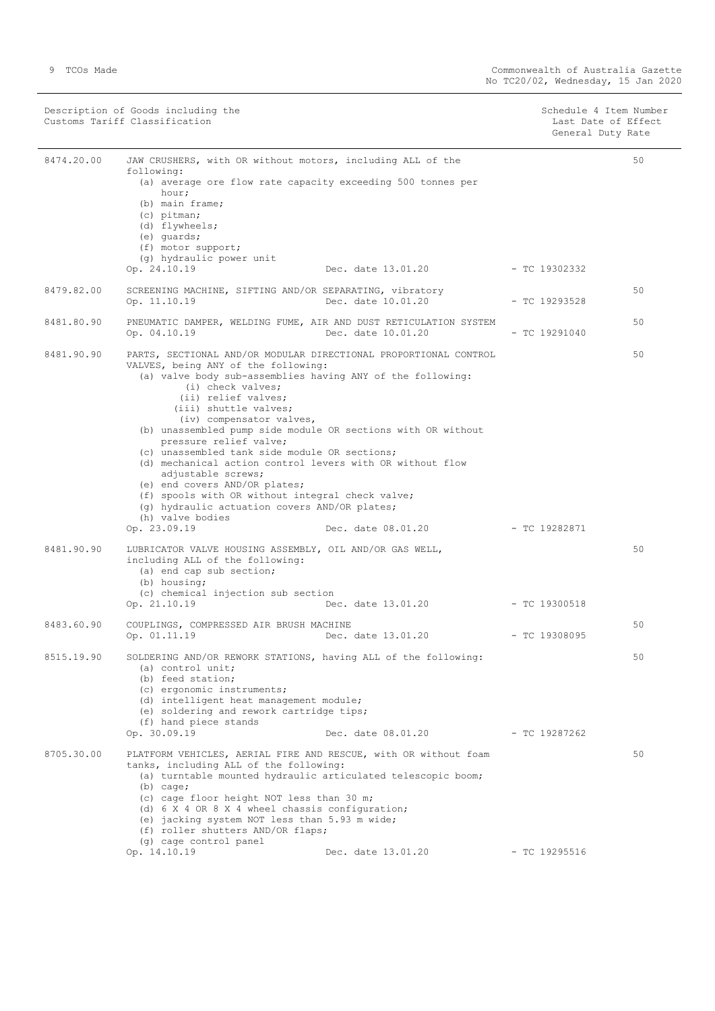Description of Goods including the Schedule 4 Item Number (Schedule 4 Item Number Customs Tariff Classification Last Date of Effect

General Duty Rate

| 8474.20.00 | JAW CRUSHERS, with OR without motors, including ALL of the<br>following:<br>(a) average ore flow rate capacity exceeding 500 tonnes per<br>hour;<br>(b) main frame;<br>(c) pitman;<br>(d) flywheels;<br>(e) quards;<br>(f) motor support;<br>(g) hydraulic power unit                                                                                                                                                                                                                                                                                                                                                                                                          |                                  |                 | 50 |
|------------|--------------------------------------------------------------------------------------------------------------------------------------------------------------------------------------------------------------------------------------------------------------------------------------------------------------------------------------------------------------------------------------------------------------------------------------------------------------------------------------------------------------------------------------------------------------------------------------------------------------------------------------------------------------------------------|----------------------------------|-----------------|----|
|            | Op. 24.10.19                                                                                                                                                                                                                                                                                                                                                                                                                                                                                                                                                                                                                                                                   | Dec. date 13.01.20               | $-$ TC 19302332 |    |
| 8479.82.00 | SCREENING MACHINE, SIFTING AND/OR SEPARATING, vibratory<br>Op. 11.10.19                                                                                                                                                                                                                                                                                                                                                                                                                                                                                                                                                                                                        | Dec. date 10.01.20               | $-$ TC 19293528 | 50 |
| 8481.80.90 | PNEUMATIC DAMPER, WELDING FUME, AIR AND DUST RETICULATION SYSTEM<br>Op. 04.10.19                                                                                                                                                                                                                                                                                                                                                                                                                                                                                                                                                                                               | Dec. date 10.01.20               | $-$ TC 19291040 | 50 |
| 8481.90.90 | PARTS, SECTIONAL AND/OR MODULAR DIRECTIONAL PROPORTIONAL CONTROL<br>VALVES, being ANY of the following:<br>(a) valve body sub-assemblies having ANY of the following:<br>(i) check valves;<br>(ii) relief valves;<br>(iii) shuttle valves;<br>(iv) compensator valves,<br>(b) unassembled pump side module OR sections with OR without<br>pressure relief valve;<br>(c) unassembled tank side module OR sections;<br>(d) mechanical action control levers with OR without flow<br>adjustable screws;<br>(e) end covers AND/OR plates;<br>(f) spools with OR without integral check valve;<br>(g) hydraulic actuation covers AND/OR plates;<br>(h) valve bodies<br>Op. 23.09.19 | Dec. date 08.01.20               | $-$ TC 19282871 | 50 |
| 8481.90.90 | LUBRICATOR VALVE HOUSING ASSEMBLY, OIL AND/OR GAS WELL,<br>including ALL of the following:<br>(a) end cap sub section;<br>(b) housing;<br>(c) chemical injection sub section<br>Op. 21.10.19                                                                                                                                                                                                                                                                                                                                                                                                                                                                                   | Dec. date 13.01.20               | $-$ TC 19300518 | 50 |
| 8483.60.90 | COUPLINGS, COMPRESSED AIR BRUSH MACHINE<br>Op. 01.11.19                                                                                                                                                                                                                                                                                                                                                                                                                                                                                                                                                                                                                        | Dec. date 13.01.20 - TC 19308095 |                 | 50 |
| 8515.19.90 | SOLDERING AND/OR REWORK STATIONS, having ALL of the following:<br>(a) control unit;<br>(b) feed station;<br>(c) ergonomic instruments;<br>(d) intelligent heat management module;<br>(e) soldering and rework cartridge tips;<br>(f) hand piece stands<br>Op. 30.09.19                                                                                                                                                                                                                                                                                                                                                                                                         | Dec. date 08.01.20               | - TC 19287262   | 50 |
| 8705.30.00 | PLATFORM VEHICLES, AERIAL FIRE AND RESCUE, with OR without foam<br>tanks, including ALL of the following:<br>(a) turntable mounted hydraulic articulated telescopic boom;<br>$(b)$ cage;<br>(c) cage floor height NOT less than 30 m;<br>(d) 6 X 4 OR 8 X 4 wheel chassis configuration;<br>(e) jacking system NOT less than 5.93 m wide;<br>(f) roller shutters AND/OR flaps;<br>(g) cage control panel<br>Op. 14.10.19                                                                                                                                                                                                                                                       | Dec. date 13.01.20               | $-$ TC 19295516 | 50 |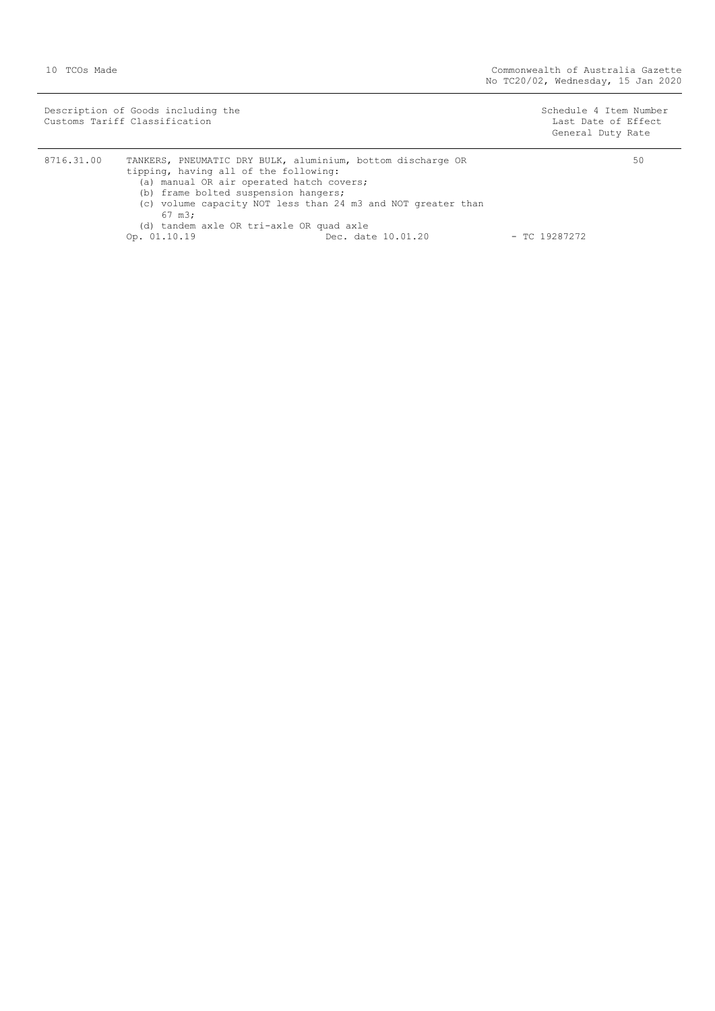| Description of Goods including the<br>Customs Tariff Classification |                                                             | Schedule 4 Item Number<br>Last Date of Effect<br>General Duty Rate |
|---------------------------------------------------------------------|-------------------------------------------------------------|--------------------------------------------------------------------|
| 8716.31.00                                                          | TANKERS, PNEUMATIC DRY BULK, aluminium, bottom discharge OR | 50                                                                 |

| 8716.31.00 | TANKERS, PNEUMATIC DRY BULK, aluminium, bottom discharge OR |                                                              |                    |                 | 50 |
|------------|-------------------------------------------------------------|--------------------------------------------------------------|--------------------|-----------------|----|
|            | tipping, having all of the following:                       |                                                              |                    |                 |    |
|            |                                                             | (a) manual OR air operated hatch covers;                     |                    |                 |    |
|            | (b) frame bolted suspension hangers;                        |                                                              |                    |                 |    |
|            |                                                             | (c) volume capacity NOT less than 24 m3 and NOT greater than |                    |                 |    |
|            | 67 m3;                                                      |                                                              |                    |                 |    |
|            |                                                             | (d) tandem axle OR tri-axle OR quad axle                     |                    |                 |    |
|            | Op. 01.10.19                                                |                                                              | Dec. date 10.01.20 | $-$ TC 19287272 |    |
|            |                                                             |                                                              |                    |                 |    |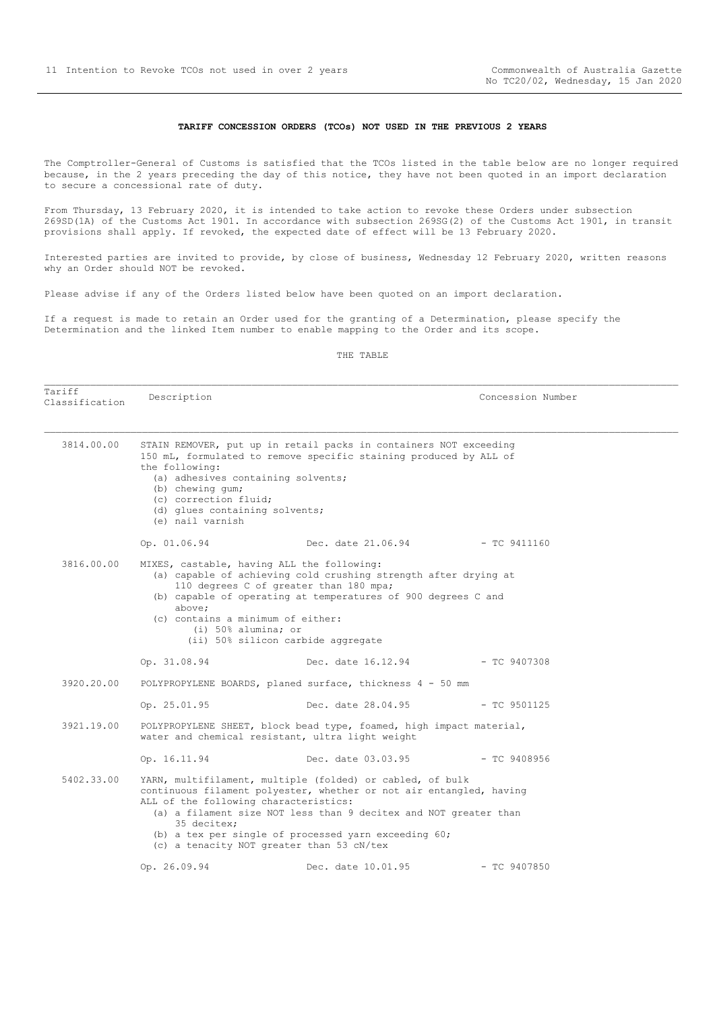#### **TARIFF CONCESSION ORDERS (TCOs) NOT USED IN THE PREVIOUS 2 YEARS**

<span id="page-10-0"></span>The Comptroller-General of Customs is satisfied that the TCOs listed in the table below are no longer required because, in the 2 years preceding the day of this notice, they have not been quoted in an import declaration to secure a concessional rate of duty.

From Thursday, 13 February 2020, it is intended to take action to revoke these Orders under subsection 269SD(1A) of the Customs Act 1901. In accordance with subsection 269SG(2) of the Customs Act 1901, in transit provisions shall apply. If revoked, the expected date of effect will be 13 February 2020.

Interested parties are invited to provide, by close of business, Wednesday 12 February 2020, written reasons why an Order should NOT be revoked.

Please advise if any of the Orders listed below have been quoted on an import declaration.

If a request is made to retain an Order used for the granting of a Determination, please specify the Determination and the linked Item number to enable mapping to the Order and its scope.

#### THE TABLE

Tariff ndiiii and Description Description and Description Concession Number 3814.00.00 STAIN REMOVER, put up in retail packs in containers NOT exceeding 150 mL, formulated to remove specific staining produced by ALL of the following: (a) adhesives containing solvents; (b) chewing gum; (c) correction fluid; (d) glues containing solvents; (e) nail varnish Op. 01.06.94 Dec. date 21.06.94 - TC 9411160 3816.00.00 MIXES, castable, having ALL the following: (a) capable of achieving cold crushing strength after drying at 110 degrees C of greater than 180 mpa; (b) capable of operating at temperatures of 900 degrees C and above; (c) contains a minimum of either: (i) 50% alumina; or (ii) 50% silicon carbide aggregate Op. 31.08.94 Dec. date 16.12.94 - TC 9407308 3920.20.00 POLYPROPYLENE BOARDS, planed surface, thickness 4 - 50 mm Op. 25.01.95 Dec. date 28.04.95 - TC 9501125 3921.19.00 POLYPROPYLENE SHEET, block bead type, foamed, high impact material, water and chemical resistant, ultra light weight Op. 16.11.94 Dec. date 03.03.95 - TC 9408956 5402.33.00 YARN, multifilament, multiple (folded) or cabled, of bulk continuous filament polyester, whether or not air entangled, having ALL of the following characteristics: (a) a filament size NOT less than 9 decitex and NOT greater than 35 decitex; (b) a tex per single of processed yarn exceeding 60; (c) a tenacity NOT greater than 53 cN/tex Op. 26.09.94 Dec. date 10.01.95 - TC 9407850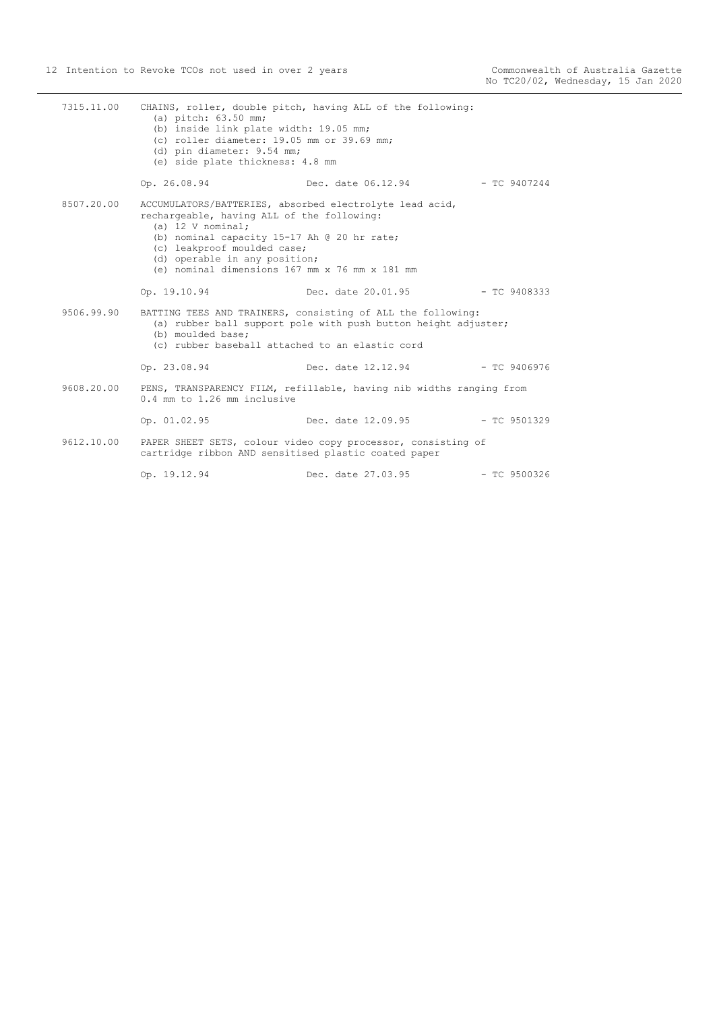| 7315.11.00 | (a) pitch: 63.50 mm;<br>(b) inside link plate width: 19.05 mm;<br>(c) roller diameter: 19.05 mm or 39.69 mm;<br>(d) pin diameter: 9.54 mm;<br>(e) side plate thickness: 4.8 mm                                                              | CHAINS, roller, double pitch, having ALL of the following:                                                                    |                |
|------------|---------------------------------------------------------------------------------------------------------------------------------------------------------------------------------------------------------------------------------------------|-------------------------------------------------------------------------------------------------------------------------------|----------------|
|            | Op. 26.08.94                                                                                                                                                                                                                                | Dec. date 06.12.94                                                                                                            | - TC 9407244   |
| 8507.20.00 | rechargeable, having ALL of the following:<br>(a) $12 \text{ V nominal}$ ;<br>(b) nominal capacity 15-17 Ah @ 20 hr rate;<br>(c) leakproof moulded case;<br>(d) operable in any position;<br>(e) nominal dimensions 167 mm x 76 mm x 181 mm | ACCUMULATORS/BATTERIES, absorbed electrolyte lead acid,                                                                       |                |
|            | Op. 19.10.94                                                                                                                                                                                                                                | Dec. date 20.01.95                                                                                                            | $-$ TC 9408333 |
| 9506.99.90 | (b) moulded base;<br>(c) rubber baseball attached to an elastic cord                                                                                                                                                                        | BATTING TEES AND TRAINERS, consisting of ALL the following:<br>(a) rubber ball support pole with push button height adjuster; |                |
|            | Op. 23.08.94                                                                                                                                                                                                                                | Dec. date 12.12.94                                                                                                            | $-$ TC 9406976 |
| 9608.20.00 | PENS, TRANSPARENCY FILM, refillable, having nib widths ranging from<br>0.4 mm to 1.26 mm inclusive                                                                                                                                          |                                                                                                                               |                |
|            | Op. 01.02.95                                                                                                                                                                                                                                | Dec. date 12.09.95                                                                                                            | $-$ TC 9501329 |
| 9612.10.00 | cartridge ribbon AND sensitised plastic coated paper                                                                                                                                                                                        | PAPER SHEET SETS, colour video copy processor, consisting of                                                                  |                |
|            | Op. 19.12.94                                                                                                                                                                                                                                | Dec. date 27.03.95                                                                                                            | $-$ TC 9500326 |
|            |                                                                                                                                                                                                                                             |                                                                                                                               |                |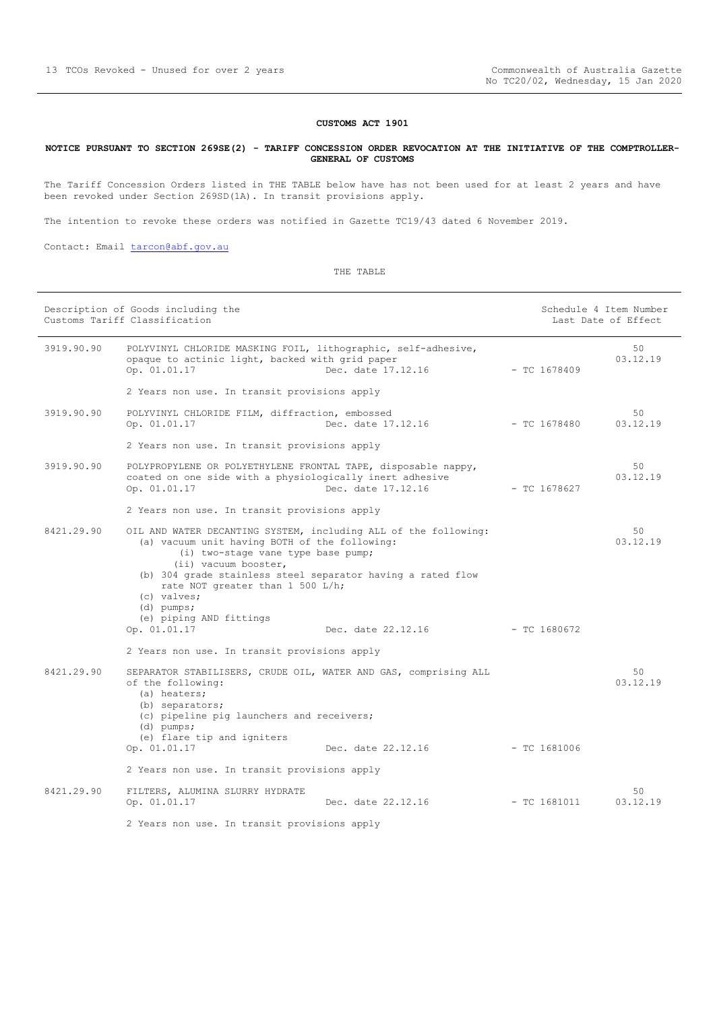# **CUSTOMS ACT 1901**

### <span id="page-12-0"></span>**NOTICE PURSUANT TO SECTION 269SE(2) - TARIFF CONCESSION ORDER REVOCATION AT THE INITIATIVE OF THE COMPTROLLER-GENERAL OF CUSTOMS**

The Tariff Concession Orders listed in THE TABLE below have has not been used for at least 2 years and have been revoked under Section 269SD(1A). In transit provisions apply.

The intention to revoke these orders was notified in Gazette TC19/43 dated 6 November 2019.

Contact: Email [tarcon@abf.gov.au](mailto:tarcon@abf.gov.au)

|            | Description of Goods including the<br>Customs Tariff Classification                                                                                                                                                                                                                                                                         |                    |                | Schedule 4 Item Number<br>Last Date of Effect |
|------------|---------------------------------------------------------------------------------------------------------------------------------------------------------------------------------------------------------------------------------------------------------------------------------------------------------------------------------------------|--------------------|----------------|-----------------------------------------------|
| 3919.90.90 | POLYVINYL CHLORIDE MASKING FOIL, lithographic, self-adhesive,<br>opaque to actinic light, backed with grid paper<br>Op. 01.01.17                                                                                                                                                                                                            | Dec. date 17.12.16 | $-$ TC 1678409 | 50<br>03.12.19                                |
|            | 2 Years non use. In transit provisions apply                                                                                                                                                                                                                                                                                                |                    |                |                                               |
| 3919.90.90 | POLYVINYL CHLORIDE FILM, diffraction, embossed<br>Op. 01.01.17                                                                                                                                                                                                                                                                              | Dec. date 17.12.16 | $- TC 1678480$ | 50<br>03.12.19                                |
|            | 2 Years non use. In transit provisions apply                                                                                                                                                                                                                                                                                                |                    |                |                                               |
| 3919.90.90 | POLYPROPYLENE OR POLYETHYLENE FRONTAL TAPE, disposable nappy,<br>coated on one side with a physiologically inert adhesive<br>Op. 01.01.17                                                                                                                                                                                                   | Dec. date 17.12.16 | - TC 1678627   | 50<br>03.12.19                                |
|            | 2 Years non use. In transit provisions apply                                                                                                                                                                                                                                                                                                |                    |                |                                               |
| 8421.29.90 | OIL AND WATER DECANTING SYSTEM, including ALL of the following:<br>(a) vacuum unit having BOTH of the following:<br>(i) two-stage vane type base pump;<br>(ii) vacuum booster,<br>(b) 304 grade stainless steel separator having a rated flow<br>rate NOT greater than 1 500 L/h;<br>(c) valves;<br>$(d)$ pumps;<br>(e) piping AND fittings |                    |                | 50<br>03.12.19                                |
|            | Op. 01.01.17                                                                                                                                                                                                                                                                                                                                | Dec. date 22.12.16 | $-$ TC 1680672 |                                               |
|            | 2 Years non use. In transit provisions apply                                                                                                                                                                                                                                                                                                |                    |                |                                               |
| 8421.29.90 | SEPARATOR STABILISERS, CRUDE OIL, WATER AND GAS, comprising ALL<br>of the following:<br>(a) heaters;<br>(b) separators;<br>(c) pipeline pig launchers and receivers;<br>$(d)$ pumps;<br>(e) flare tip and igniters                                                                                                                          |                    |                | 50<br>0.3.12.19                               |
|            | Op. 01.01.17                                                                                                                                                                                                                                                                                                                                | Dec. date 22.12.16 | $-$ TC 1681006 |                                               |
|            | 2 Years non use. In transit provisions apply                                                                                                                                                                                                                                                                                                |                    |                |                                               |
| 8421.29.90 | FILTERS, ALUMINA SLURRY HYDRATE<br>Op. 01.01.17                                                                                                                                                                                                                                                                                             | Dec. date 22.12.16 | $-$ TC 1681011 | 50<br>03.12.19                                |
|            | 2 Years non use. In transit provisions apply                                                                                                                                                                                                                                                                                                |                    |                |                                               |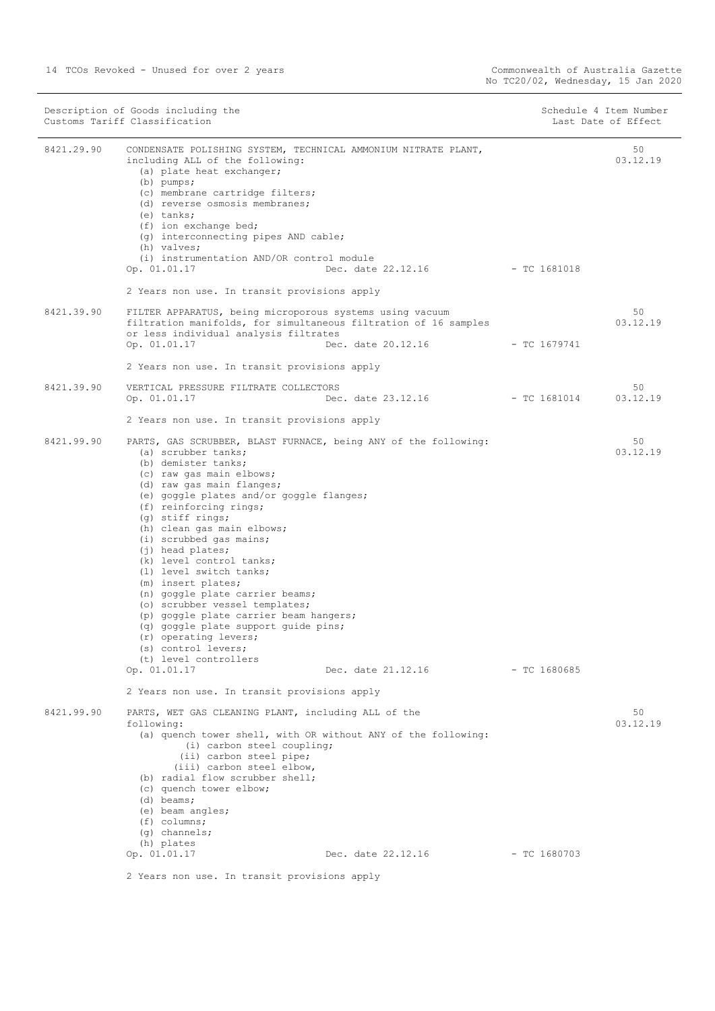| 50<br>CONDENSATE POLISHING SYSTEM, TECHNICAL AMMONIUM NITRATE PLANT,<br>03.12.19<br>including ALL of the following:<br>(a) plate heat exchanger;<br>$(b)$ pumps;<br>(c) membrane cartridge filters;<br>(d) reverse osmosis membranes;<br>(e) tanks;<br>(f) ion exchange bed;<br>(g) interconnecting pipes AND cable;<br>(h) valves;<br>(i) instrumentation AND/OR control module<br>Op. 01.01.17<br>Dec. date 22.12.16<br>$-$ TC 1681018<br>2 Years non use. In transit provisions apply<br>50<br>FILTER APPARATUS, being microporous systems using vacuum<br>filtration manifolds, for simultaneous filtration of 16 samples<br>03.12.19<br>or less individual analysis filtrates<br>Dec. date 20.12.16<br>Op. 01.01.17<br>- TC 1679741<br>2 Years non use. In transit provisions apply<br>VERTICAL PRESSURE FILTRATE COLLECTORS<br>50<br>Dec. date 23.12.16<br>$-$ TC 1681014<br>03.12.19<br>Op. 01.01.17<br>2 Years non use. In transit provisions apply<br>50<br>PARTS, GAS SCRUBBER, BLAST FURNACE, being ANY of the following:<br>(a) scrubber tanks;<br>03.12.19<br>(b) demister tanks;<br>(c) raw gas main elbows;<br>(d) raw gas main flanges;<br>(e) goggle plates and/or goggle flanges;<br>(f) reinforcing rings;<br>(g) stiff rings;<br>(h) clean gas main elbows;<br>(i) scrubbed gas mains;<br>$(i)$ head plates;<br>(k) level control tanks;<br>(1) level switch tanks;<br>(m) insert plates;<br>(n) goggle plate carrier beams;<br>(o) scrubber vessel templates;<br>(p) goggle plate carrier beam hangers;<br>(q) goggle plate support guide pins;<br>(r) operating levers;<br>(s) control levers;<br>(t) level controllers<br>Op. 01.01.17<br>$-$ TC 1680685<br>Dec. date 21.12.16<br>2 Years non use. In transit provisions apply<br>PARTS, WET GAS CLEANING PLANT, including ALL of the<br>50<br>03.12.19<br>following:<br>(a) quench tower shell, with OR without ANY of the following:<br>(i) carbon steel coupling;<br>(ii) carbon steel pipe;<br>(iii) carbon steel elbow,<br>(b) radial flow scrubber shell;<br>(c) quench tower elbow;<br>$(d)$ beams;<br>(e) beam angles;<br>$(f)$ columns;<br>$(q)$ channels;<br>(h) plates<br>Dec. date 22.12.16<br>Op. 01.01.17<br>- TC 1680703 | Description of Goods including the<br>Customs Tariff Classification |  | Schedule 4 Item Number<br>Last Date of Effect |  |
|----------------------------------------------------------------------------------------------------------------------------------------------------------------------------------------------------------------------------------------------------------------------------------------------------------------------------------------------------------------------------------------------------------------------------------------------------------------------------------------------------------------------------------------------------------------------------------------------------------------------------------------------------------------------------------------------------------------------------------------------------------------------------------------------------------------------------------------------------------------------------------------------------------------------------------------------------------------------------------------------------------------------------------------------------------------------------------------------------------------------------------------------------------------------------------------------------------------------------------------------------------------------------------------------------------------------------------------------------------------------------------------------------------------------------------------------------------------------------------------------------------------------------------------------------------------------------------------------------------------------------------------------------------------------------------------------------------------------------------------------------------------------------------------------------------------------------------------------------------------------------------------------------------------------------------------------------------------------------------------------------------------------------------------------------------------------------------------------------------------------------------------------------------------------------------------------------------------|---------------------------------------------------------------------|--|-----------------------------------------------|--|
|                                                                                                                                                                                                                                                                                                                                                                                                                                                                                                                                                                                                                                                                                                                                                                                                                                                                                                                                                                                                                                                                                                                                                                                                                                                                                                                                                                                                                                                                                                                                                                                                                                                                                                                                                                                                                                                                                                                                                                                                                                                                                                                                                                                                                | 8421.29.90                                                          |  |                                               |  |
|                                                                                                                                                                                                                                                                                                                                                                                                                                                                                                                                                                                                                                                                                                                                                                                                                                                                                                                                                                                                                                                                                                                                                                                                                                                                                                                                                                                                                                                                                                                                                                                                                                                                                                                                                                                                                                                                                                                                                                                                                                                                                                                                                                                                                |                                                                     |  |                                               |  |
|                                                                                                                                                                                                                                                                                                                                                                                                                                                                                                                                                                                                                                                                                                                                                                                                                                                                                                                                                                                                                                                                                                                                                                                                                                                                                                                                                                                                                                                                                                                                                                                                                                                                                                                                                                                                                                                                                                                                                                                                                                                                                                                                                                                                                | 8421.39.90                                                          |  |                                               |  |
|                                                                                                                                                                                                                                                                                                                                                                                                                                                                                                                                                                                                                                                                                                                                                                                                                                                                                                                                                                                                                                                                                                                                                                                                                                                                                                                                                                                                                                                                                                                                                                                                                                                                                                                                                                                                                                                                                                                                                                                                                                                                                                                                                                                                                | 8421.39.90                                                          |  |                                               |  |
|                                                                                                                                                                                                                                                                                                                                                                                                                                                                                                                                                                                                                                                                                                                                                                                                                                                                                                                                                                                                                                                                                                                                                                                                                                                                                                                                                                                                                                                                                                                                                                                                                                                                                                                                                                                                                                                                                                                                                                                                                                                                                                                                                                                                                |                                                                     |  |                                               |  |
|                                                                                                                                                                                                                                                                                                                                                                                                                                                                                                                                                                                                                                                                                                                                                                                                                                                                                                                                                                                                                                                                                                                                                                                                                                                                                                                                                                                                                                                                                                                                                                                                                                                                                                                                                                                                                                                                                                                                                                                                                                                                                                                                                                                                                |                                                                     |  |                                               |  |
|                                                                                                                                                                                                                                                                                                                                                                                                                                                                                                                                                                                                                                                                                                                                                                                                                                                                                                                                                                                                                                                                                                                                                                                                                                                                                                                                                                                                                                                                                                                                                                                                                                                                                                                                                                                                                                                                                                                                                                                                                                                                                                                                                                                                                | 8421.99.90                                                          |  |                                               |  |
|                                                                                                                                                                                                                                                                                                                                                                                                                                                                                                                                                                                                                                                                                                                                                                                                                                                                                                                                                                                                                                                                                                                                                                                                                                                                                                                                                                                                                                                                                                                                                                                                                                                                                                                                                                                                                                                                                                                                                                                                                                                                                                                                                                                                                | 8421.99.90                                                          |  |                                               |  |
|                                                                                                                                                                                                                                                                                                                                                                                                                                                                                                                                                                                                                                                                                                                                                                                                                                                                                                                                                                                                                                                                                                                                                                                                                                                                                                                                                                                                                                                                                                                                                                                                                                                                                                                                                                                                                                                                                                                                                                                                                                                                                                                                                                                                                |                                                                     |  |                                               |  |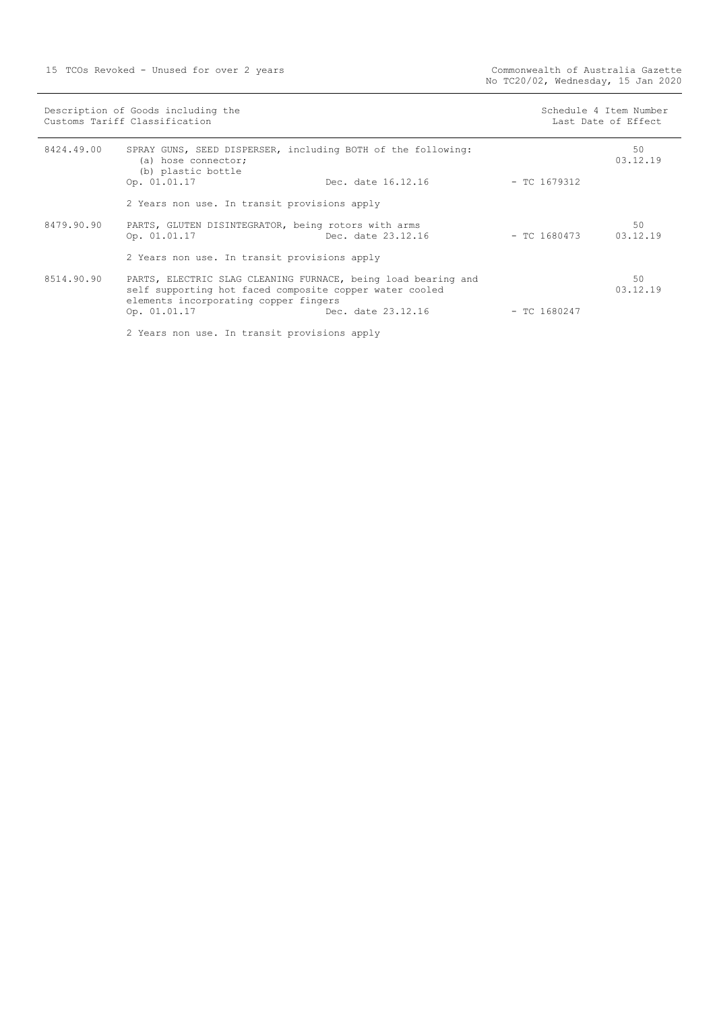|                                              | Description of Goods including the<br>Customs Tariff Classification                                                                                               |                    | Schedule 4 Item Number<br>Last Date of Effect |                |
|----------------------------------------------|-------------------------------------------------------------------------------------------------------------------------------------------------------------------|--------------------|-----------------------------------------------|----------------|
| 8424.49.00                                   | SPRAY GUNS, SEED DISPERSER, including BOTH of the following:<br>(a) hose connector;<br>(b) plastic bottle<br>Op. 01.01.17                                         | Dec. date 16.12.16 | - TC 1679312                                  | 50<br>03.12.19 |
|                                              | 2 Years non use. In transit provisions apply                                                                                                                      |                    |                                               |                |
| 8479.90.90                                   | PARTS, GLUTEN DISINTEGRATOR, being rotors with arms<br>Dec. date 23.12.16<br>Op. 01.01.17                                                                         |                    | $-$ TC 1680473 03.12.19                       | 50             |
| 2 Years non use. In transit provisions apply |                                                                                                                                                                   |                    |                                               |                |
| 8514.90.90                                   | PARTS, ELECTRIC SLAG CLEANING FURNACE, being load bearing and<br>self supporting hot faced composite copper water cooled<br>elements incorporating copper fingers |                    |                                               | 50<br>03.12.19 |
|                                              | Dec. date 23.12.16<br>Op. 01.01.17                                                                                                                                |                    | $-$ TC 1680247                                |                |
|                                              | 2 Years non use. In transit provisions apply                                                                                                                      |                    |                                               |                |